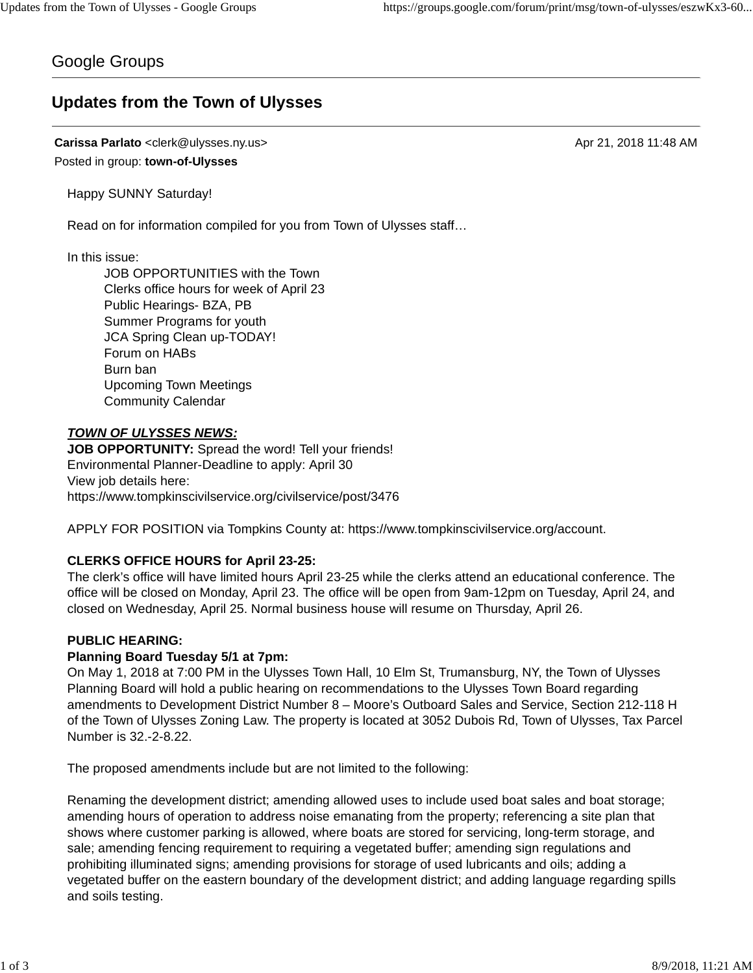## Google Groups

# **Updates from the Town of Ulysses**

#### **Carissa Parlato** <clerk@ulysses.ny.us> Apr 21, 2018 11:48 AM Posted in group: **town-of-Ulysses**

Happy SUNNY Saturday!

Read on for information compiled for you from Town of Ulysses staff…

In this issue:

JOB OPPORTUNITIES with the Town Clerks office hours for week of April 23 Public Hearings- BZA, PB Summer Programs for youth JCA Spring Clean up-TODAY! Forum on HABs Burn ban Upcoming Town Meetings Community Calendar

### *TOWN OF ULYSSES NEWS:*

**JOB OPPORTUNITY:** Spread the word! Tell your friends! Environmental Planner-Deadline to apply: April 30 View job details here: https://www.tompkinscivilservice.org/civilservice/post/3476

APPLY FOR POSITION via Tompkins County at: https://www.tompkinscivilservice.org/account.

## **CLERKS OFFICE HOURS for April 23-25:**

The clerk's office will have limited hours April 23-25 while the clerks attend an educational conference. The office will be closed on Monday, April 23. The office will be open from 9am-12pm on Tuesday, April 24, and closed on Wednesday, April 25. Normal business house will resume on Thursday, April 26.

## **PUBLIC HEARING:**

## **Planning Board Tuesday 5/1 at 7pm:**

On May 1, 2018 at 7:00 PM in the Ulysses Town Hall, 10 Elm St, Trumansburg, NY, the Town of Ulysses Planning Board will hold a public hearing on recommendations to the Ulysses Town Board regarding amendments to Development District Number 8 – Moore's Outboard Sales and Service, Section 212-118 H of the Town of Ulysses Zoning Law. The property is located at 3052 Dubois Rd, Town of Ulysses, Tax Parcel Number is 32.-2-8.22.

The proposed amendments include but are not limited to the following:

Renaming the development district; amending allowed uses to include used boat sales and boat storage; amending hours of operation to address noise emanating from the property; referencing a site plan that shows where customer parking is allowed, where boats are stored for servicing, long-term storage, and sale; amending fencing requirement to requiring a vegetated buffer; amending sign regulations and prohibiting illuminated signs; amending provisions for storage of used lubricants and oils; adding a vegetated buffer on the eastern boundary of the development district; and adding language regarding spills and soils testing.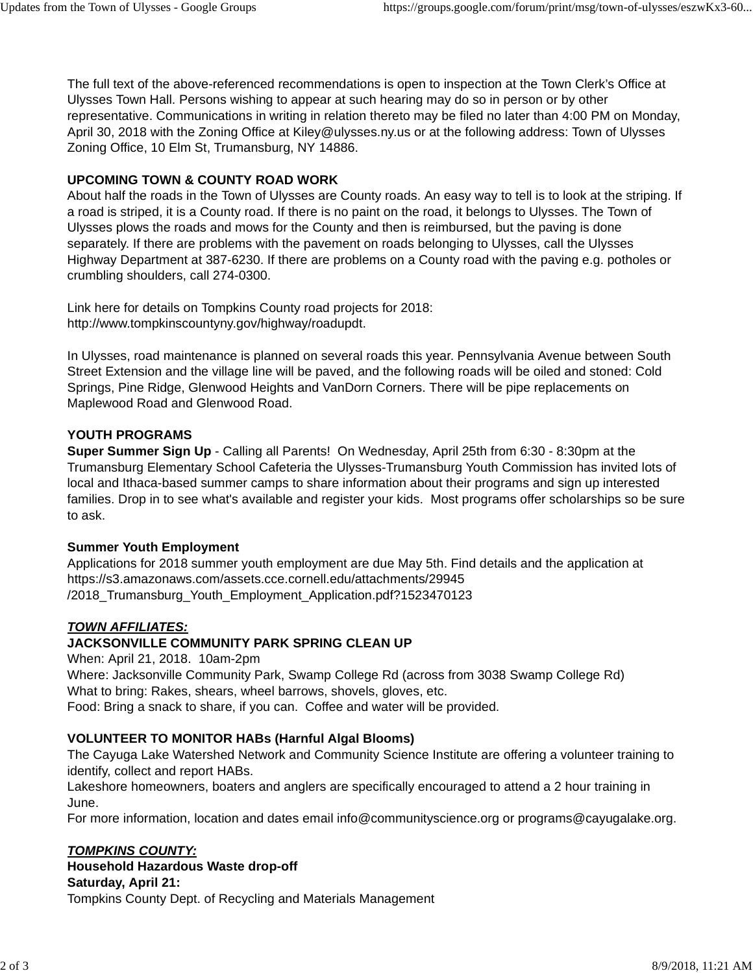The full text of the above-referenced recommendations is open to inspection at the Town Clerk's Office at Ulysses Town Hall. Persons wishing to appear at such hearing may do so in person or by other representative. Communications in writing in relation thereto may be filed no later than 4:00 PM on Monday, April 30, 2018 with the Zoning Office at Kiley@ulysses.ny.us or at the following address: Town of Ulysses Zoning Office, 10 Elm St, Trumansburg, NY 14886.

#### **UPCOMING TOWN & COUNTY ROAD WORK**

About half the roads in the Town of Ulysses are County roads. An easy way to tell is to look at the striping. If a road is striped, it is a County road. If there is no paint on the road, it belongs to Ulysses. The Town of Ulysses plows the roads and mows for the County and then is reimbursed, but the paving is done separately. If there are problems with the pavement on roads belonging to Ulysses, call the Ulysses Highway Department at 387-6230. If there are problems on a County road with the paving e.g. potholes or crumbling shoulders, call 274-0300.

Link here for details on Tompkins County road projects for 2018: http://www.tompkinscountyny.gov/highway/roadupdt.

In Ulysses, road maintenance is planned on several roads this year. Pennsylvania Avenue between South Street Extension and the village line will be paved, and the following roads will be oiled and stoned: Cold Springs, Pine Ridge, Glenwood Heights and VanDorn Corners. There will be pipe replacements on Maplewood Road and Glenwood Road.

#### **YOUTH PROGRAMS**

**Super Summer Sign Up** - Calling all Parents! On Wednesday, April 25th from 6:30 - 8:30pm at the Trumansburg Elementary School Cafeteria the Ulysses-Trumansburg Youth Commission has invited lots of local and Ithaca-based summer camps to share information about their programs and sign up interested families. Drop in to see what's available and register your kids. Most programs offer scholarships so be sure to ask.

#### **Summer Youth Employment**

Applications for 2018 summer youth employment are due May 5th. Find details and the application at https://s3.amazonaws.com/assets.cce.cornell.edu/attachments/29945 /2018\_Trumansburg\_Youth\_Employment\_Application.pdf?1523470123

#### *TOWN AFFILIATES:*

#### **JACKSONVILLE COMMUNITY PARK SPRING CLEAN UP**

When: April 21, 2018. 10am-2pm Where: Jacksonville Community Park, Swamp College Rd (across from 3038 Swamp College Rd) What to bring: Rakes, shears, wheel barrows, shovels, gloves, etc. Food: Bring a snack to share, if you can. Coffee and water will be provided.

#### **VOLUNTEER TO MONITOR HABs (Harnful Algal Blooms)**

The Cayuga Lake Watershed Network and Community Science Institute are offering a volunteer training to identify, collect and report HABs.

Lakeshore homeowners, boaters and anglers are specifically encouraged to attend a 2 hour training in June.

For more information, location and dates email info@communityscience.org or programs@cayugalake.org.

#### *TOMPKINS COUNTY:*

#### **Household Hazardous Waste drop-off Saturday, April 21:** Tompkins County Dept. of Recycling and Materials Management